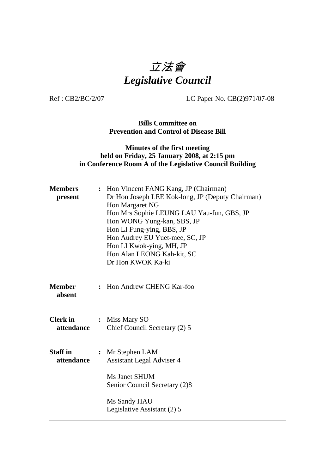# 立法會 *Legislative Council*

Ref : CB2/BC/2/07 LC Paper No. CB(2)971/07-08

**Bills Committee on Prevention and Control of Disease Bill** 

#### **Minutes of the first meeting held on Friday, 25 January 2008, at 2:15 pm in Conference Room A of the Legislative Council Building**

| <b>Members</b><br>present     |                                                      | : Hon Vincent FANG Kang, JP (Chairman)<br>Dr Hon Joseph LEE Kok-long, JP (Deputy Chairman)<br>Hon Margaret NG<br>Hon Mrs Sophie LEUNG LAU Yau-fun, GBS, JP<br>Hon WONG Yung-kan, SBS, JP<br>Hon LI Fung-ying, BBS, JP<br>Hon Audrey EU Yuet-mee, SC, JP<br>Hon LI Kwok-ying, MH, JP<br>Hon Alan LEONG Kah-kit, SC<br>Dr Hon KWOK Ka-ki |  |
|-------------------------------|------------------------------------------------------|----------------------------------------------------------------------------------------------------------------------------------------------------------------------------------------------------------------------------------------------------------------------------------------------------------------------------------------|--|
| <b>Member</b><br>absent       | $\ddot{\phantom{a}}$                                 | Hon Andrew CHENG Kar-foo                                                                                                                                                                                                                                                                                                               |  |
| <b>Clerk</b> in<br>attendance |                                                      | : Miss Mary SO<br>Chief Council Secretary (2) 5                                                                                                                                                                                                                                                                                        |  |
| <b>Staff</b> in<br>attendance | : Mr Stephen LAM<br><b>Assistant Legal Adviser 4</b> |                                                                                                                                                                                                                                                                                                                                        |  |
|                               |                                                      | Ms Janet SHUM<br>Senior Council Secretary (2)8                                                                                                                                                                                                                                                                                         |  |
|                               |                                                      | Ms Sandy HAU<br>Legislative Assistant (2) 5                                                                                                                                                                                                                                                                                            |  |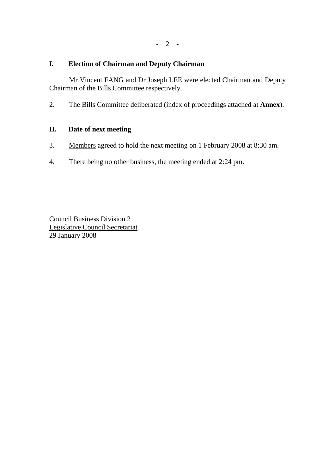# **I***.* **Election of Chairman and Deputy Chairman**

1. Mr Vincent FANG and Dr Joseph LEE were elected Chairman and Deputy Chairman of the Bills Committee respectively.

2. The Bills Committee deliberated (index of proceedings attached at **Annex**).

# **II. Date of next meeting**

- 3. Members agreed to hold the next meeting on 1 February 2008 at 8:30 am.
- 4. There being no other business, the meeting ended at 2:24 pm.

Council Business Division 2 Legislative Council Secretariat 29 January 2008